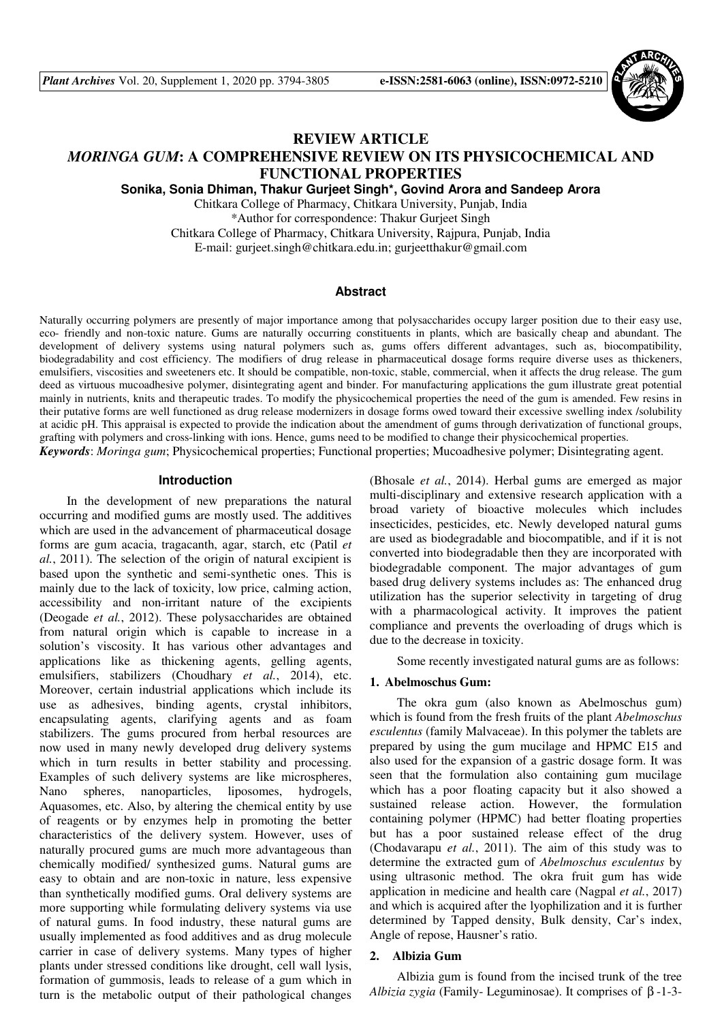

# **REVIEW ARTICLE**

# *MORINGA GUM***: A COMPREHENSIVE REVIEW ON ITS PHYSICOCHEMICAL AND FUNCTIONAL PROPERTIES**

**Sonika, Sonia Dhiman, Thakur Gurjeet Singh\*, Govind Arora and Sandeep Arora** 

Chitkara College of Pharmacy, Chitkara University, Punjab, India \*Author for correspondence: Thakur Gurjeet Singh Chitkara College of Pharmacy, Chitkara University, Rajpura, Punjab, India E-mail: gurjeet.singh@chitkara.edu.in; gurjeetthakur@gmail.com

### **Abstract**

Naturally occurring polymers are presently of major importance among that polysaccharides occupy larger position due to their easy use, eco- friendly and non-toxic nature. Gums are naturally occurring constituents in plants, which are basically cheap and abundant. The development of delivery systems using natural polymers such as, gums offers different advantages, such as, biocompatibility, biodegradability and cost efficiency. The modifiers of drug release in pharmaceutical dosage forms require diverse uses as thickeners, emulsifiers, viscosities and sweeteners etc. It should be compatible, non-toxic, stable, commercial, when it affects the drug release. The gum deed as virtuous mucoadhesive polymer, disintegrating agent and binder. For manufacturing applications the gum illustrate great potential mainly in nutrients, knits and therapeutic trades. To modify the physicochemical properties the need of the gum is amended. Few resins in their putative forms are well functioned as drug release modernizers in dosage forms owed toward their excessive swelling index /solubility at acidic pH. This appraisal is expected to provide the indication about the amendment of gums through derivatization of functional groups, grafting with polymers and cross-linking with ions. Hence, gums need to be modified to change their physicochemical properties. *Keywords*: *Moringa gum*; Physicochemical properties; Functional properties; Mucoadhesive polymer; Disintegrating agent.

#### **Introduction**

In the development of new preparations the natural occurring and modified gums are mostly used. The additives which are used in the advancement of pharmaceutical dosage forms are gum acacia, tragacanth, agar, starch, etc (Patil *et al.*, 2011). The selection of the origin of natural excipient is based upon the synthetic and semi-synthetic ones. This is mainly due to the lack of toxicity, low price, calming action, accessibility and non-irritant nature of the excipients (Deogade *et al.*, 2012). These polysaccharides are obtained from natural origin which is capable to increase in a solution's viscosity. It has various other advantages and applications like as thickening agents, gelling agents, emulsifiers, stabilizers (Choudhary *et al.*, 2014), etc. Moreover, certain industrial applications which include its use as adhesives, binding agents, crystal inhibitors, encapsulating agents, clarifying agents and as foam stabilizers. The gums procured from herbal resources are now used in many newly developed drug delivery systems which in turn results in better stability and processing. Examples of such delivery systems are like microspheres, Nano spheres, nanoparticles, liposomes, hydrogels, Aquasomes, etc. Also, by altering the chemical entity by use of reagents or by enzymes help in promoting the better characteristics of the delivery system. However, uses of naturally procured gums are much more advantageous than chemically modified/ synthesized gums. Natural gums are easy to obtain and are non-toxic in nature, less expensive than synthetically modified gums. Oral delivery systems are more supporting while formulating delivery systems via use of natural gums. In food industry, these natural gums are usually implemented as food additives and as drug molecule carrier in case of delivery systems. Many types of higher plants under stressed conditions like drought, cell wall lysis, formation of gummosis, leads to release of a gum which in turn is the metabolic output of their pathological changes

(Bhosale *et al.*, 2014). Herbal gums are emerged as major multi-disciplinary and extensive research application with a broad variety of bioactive molecules which includes insecticides, pesticides, etc. Newly developed natural gums are used as biodegradable and biocompatible, and if it is not converted into biodegradable then they are incorporated with biodegradable component. The major advantages of gum based drug delivery systems includes as: The enhanced drug utilization has the superior selectivity in targeting of drug with a pharmacological activity. It improves the patient compliance and prevents the overloading of drugs which is due to the decrease in toxicity.

Some recently investigated natural gums are as follows:

### **1. Abelmoschus Gum:**

The okra gum (also known as Abelmoschus gum) which is found from the fresh fruits of the plant *Abelmoschus esculentus* (family Malvaceae). In this polymer the tablets are prepared by using the gum mucilage and HPMC E15 and also used for the expansion of a gastric dosage form. It was seen that the formulation also containing gum mucilage which has a poor floating capacity but it also showed a sustained release action. However, the formulation containing polymer (HPMC) had better floating properties but has a poor sustained release effect of the drug (Chodavarapu *et al.*, 2011). The aim of this study was to determine the extracted gum of *Abelmoschus esculentus* by using ultrasonic method. The okra fruit gum has wide application in medicine and health care (Nagpal *et al.*, 2017) and which is acquired after the lyophilization and it is further determined by Tapped density, Bulk density, Car's index, Angle of repose, Hausner's ratio.

### **2. Albizia Gum**

Albizia gum is found from the incised trunk of the tree *Albizia zygia* (Family- Leguminosae). It comprises of β -1-3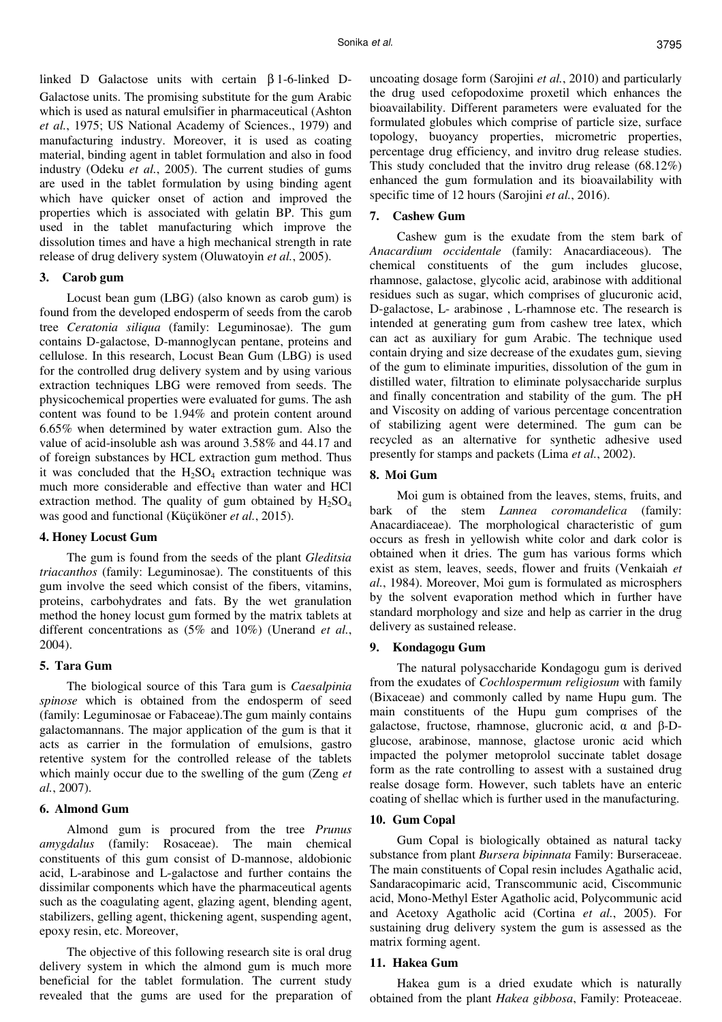linked D Galactose units with certain β 1-6-linked D-Galactose units. The promising substitute for the gum Arabic which is used as natural emulsifier in pharmaceutical (Ashton *et al.*, 1975; US National Academy of Sciences., 1979) and manufacturing industry. Moreover, it is used as coating material, binding agent in tablet formulation and also in food industry (Odeku *et al.*, 2005). The current studies of gums are used in the tablet formulation by using binding agent which have quicker onset of action and improved the properties which is associated with gelatin BP. This gum used in the tablet manufacturing which improve the dissolution times and have a high mechanical strength in rate release of drug delivery system (Oluwatoyin *et al.*, 2005).

### **3. Carob gum**

Locust bean gum (LBG) (also known as carob gum) is found from the developed endosperm of seeds from the carob tree *Ceratonia siliqua* (family: Leguminosae). The gum contains D-galactose, D-mannoglycan pentane, proteins and cellulose. In this research, Locust Bean Gum (LBG) is used for the controlled drug delivery system and by using various extraction techniques LBG were removed from seeds. The physicochemical properties were evaluated for gums. The ash content was found to be 1.94% and protein content around 6.65% when determined by water extraction gum. Also the value of acid-insoluble ash was around 3.58% and 44.17 and of foreign substances by HCL extraction gum method. Thus it was concluded that the  $H_2SO_4$  extraction technique was much more considerable and effective than water and HCl extraction method. The quality of gum obtained by  $H_2SO_4$ was good and functional (Küçüköner *et al.*, 2015).

### **4. Honey Locust Gum**

The gum is found from the seeds of the plant *Gleditsia triacanthos* (family: Leguminosae). The constituents of this gum involve the seed which consist of the fibers, vitamins, proteins, carbohydrates and fats. By the wet granulation method the honey locust gum formed by the matrix tablets at different concentrations as (5% and 10%) (Unerand *et al.*, 2004).

### **5. Tara Gum**

The biological source of this Tara gum is *Caesalpinia spinose* which is obtained from the endosperm of seed (family: Leguminosae or Fabaceae).The gum mainly contains galactomannans. The major application of the gum is that it acts as carrier in the formulation of emulsions, gastro retentive system for the controlled release of the tablets which mainly occur due to the swelling of the gum (Zeng *et al.*, 2007).

# **6. Almond Gum**

Almond gum is procured from the tree *Prunus amygdalus* (family: Rosaceae). The main chemical constituents of this gum consist of D-mannose, aldobionic acid, L-arabinose and L-galactose and further contains the dissimilar components which have the pharmaceutical agents such as the coagulating agent, glazing agent, blending agent, stabilizers, gelling agent, thickening agent, suspending agent, epoxy resin, etc. Moreover,

The objective of this following research site is oral drug delivery system in which the almond gum is much more beneficial for the tablet formulation. The current study revealed that the gums are used for the preparation of uncoating dosage form (Sarojini *et al.*, 2010) and particularly the drug used cefopodoxime proxetil which enhances the bioavailability. Different parameters were evaluated for the formulated globules which comprise of particle size, surface topology, buoyancy properties, micrometric properties, percentage drug efficiency, and invitro drug release studies. This study concluded that the invitro drug release (68.12%) enhanced the gum formulation and its bioavailability with specific time of 12 hours (Sarojini *et al.*, 2016).

### **7. Cashew Gum**

Cashew gum is the exudate from the stem bark of *Anacardium occidentale* (family: Anacardiaceous). The chemical constituents of the gum includes glucose, rhamnose, galactose, glycolic acid, arabinose with additional residues such as sugar, which comprises of glucuronic acid, D-galactose, L- arabinose , L-rhamnose etc. The research is intended at generating gum from cashew tree latex, which can act as auxiliary for gum Arabic. The technique used contain drying and size decrease of the exudates gum, sieving of the gum to eliminate impurities, dissolution of the gum in distilled water, filtration to eliminate polysaccharide surplus and finally concentration and stability of the gum. The pH and Viscosity on adding of various percentage concentration of stabilizing agent were determined. The gum can be recycled as an alternative for synthetic adhesive used presently for stamps and packets (Lima *et al.*, 2002).

### **8. Moi Gum**

Moi gum is obtained from the leaves, stems, fruits, and bark of the stem *Lannea coromandelica* (family: Anacardiaceae). The morphological characteristic of gum occurs as fresh in yellowish white color and dark color is obtained when it dries. The gum has various forms which exist as stem, leaves, seeds, flower and fruits (Venkaiah *et al.*, 1984). Moreover, Moi gum is formulated as microsphers by the solvent evaporation method which in further have standard morphology and size and help as carrier in the drug delivery as sustained release.

### **9. Kondagogu Gum**

The natural polysaccharide Kondagogu gum is derived from the exudates of *Cochlospermum religiosum* with family (Bixaceae) and commonly called by name Hupu gum. The main constituents of the Hupu gum comprises of the galactose, fructose, rhamnose, glucronic acid, α and β-Dglucose, arabinose, mannose, glactose uronic acid which impacted the polymer metoprolol succinate tablet dosage form as the rate controlling to assest with a sustained drug realse dosage form. However, such tablets have an enteric coating of shellac which is further used in the manufacturing.

### **10. Gum Copal**

Gum Copal is biologically obtained as natural tacky substance from plant *Bursera bipinnata* Family: Burseraceae. The main constituents of Copal resin includes Agathalic acid, Sandaracopimaric acid, Transcommunic acid, Ciscommunic acid, Mono-Methyl Ester Agatholic acid, Polycommunic acid and Acetoxy Agatholic acid (Cortina *et al.*, 2005). For sustaining drug delivery system the gum is assessed as the matrix forming agent.

### **11. Hakea Gum**

Hakea gum is a dried exudate which is naturally obtained from the plant *Hakea gibbosa*, Family: Proteaceae.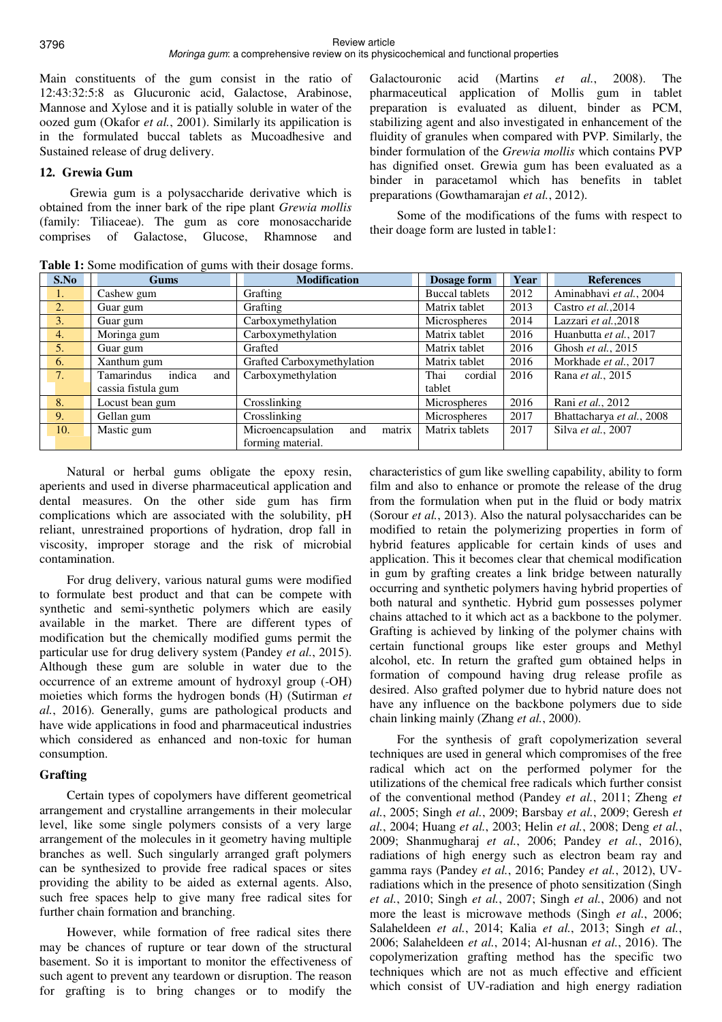Main constituents of the gum consist in the ratio of 12:43:32:5:8 as Glucuronic acid, Galactose, Arabinose, Mannose and Xylose and it is patially soluble in water of the oozed gum (Okafor *et al.*, 2001). Similarly its appilication is in the formulated buccal tablets as Mucoadhesive and Sustained release of drug delivery.

### **12. Grewia Gum**

 Grewia gum is a polysaccharide derivative which is obtained from the inner bark of the ripe plant *Grewia mollis* (family: Tiliaceae). The gum as core monosaccharide comprises of Galactose, Glucose, Rhamnose and

Galactouronic acid (Martins *et al.*, 2008). The pharmaceutical application of Mollis gum in tablet preparation is evaluated as diluent, binder as PCM, stabilizing agent and also investigated in enhancement of the fluidity of granules when compared with PVP. Similarly, the binder formulation of the *Grewia mollis* which contains PVP has dignified onset. Grewia gum has been evaluated as a binder in paracetamol which has benefits in tablet preparations (Gowthamarajan *et al.*, 2012).

Some of the modifications of the fums with respect to their doage form are lusted in table1:

| S.No           | Gums                        | <b>Modification</b>                 | Dosage form           | Year | <b>References</b>         |  |
|----------------|-----------------------------|-------------------------------------|-----------------------|------|---------------------------|--|
| 1.             | Cashew gum                  | Grafting                            | <b>Buccal tablets</b> | 2012 | Aminabhavi et al., 2004   |  |
| 2.             | Guar gum                    | Grafting                            | Matrix tablet         | 2013 | Castro et al., 2014       |  |
| 3.             | Guar gum                    | Carboxymethylation                  | Microspheres          | 2014 | Lazzari et al., 2018      |  |
| 4.             | Moringa gum                 | Carboxymethylation                  | Matrix tablet         | 2016 | Huanbutta et al., 2017    |  |
| 5 <sub>1</sub> | Guar gum                    | Grafted                             | Matrix tablet         | 2016 | Ghosh et al., 2015        |  |
| 6.             | Xanthum gum                 | Grafted Carboxymethylation          | Matrix tablet         | 2016 | Morkhade et al., 2017     |  |
| 7.             | Tamarindus<br>indica<br>and | Carboxymethylation                  | Thai<br>cordial       | 2016 | Rana et al., 2015         |  |
|                | cassia fistula gum          |                                     | tablet                |      |                           |  |
| 8.             | Locust bean gum             | Crosslinking                        | Microspheres          | 2016 | Rani et al., 2012         |  |
| 9.             | Gellan gum                  | Crosslinking                        | Microspheres          | 2017 | Bhattacharya et al., 2008 |  |
| 10.            | Mastic gum                  | Microencapsulation<br>matrix<br>and | Matrix tablets        | 2017 | Silva et al., 2007        |  |
|                |                             | forming material.                   |                       |      |                           |  |

**Table 1:** Some modification of gums with their dosage forms.

Natural or herbal gums obligate the epoxy resin, aperients and used in diverse pharmaceutical application and dental measures. On the other side gum has firm complications which are associated with the solubility, pH reliant, unrestrained proportions of hydration, drop fall in viscosity, improper storage and the risk of microbial contamination.

For drug delivery, various natural gums were modified to formulate best product and that can be compete with synthetic and semi-synthetic polymers which are easily available in the market. There are different types of modification but the chemically modified gums permit the particular use for drug delivery system (Pandey *et al.*, 2015). Although these gum are soluble in water due to the occurrence of an extreme amount of hydroxyl group (-OH) moieties which forms the hydrogen bonds (H) (Sutirman *et al.*, 2016). Generally, gums are pathological products and have wide applications in food and pharmaceutical industries which considered as enhanced and non-toxic for human consumption.

### **Grafting**

Certain types of copolymers have different geometrical arrangement and crystalline arrangements in their molecular level, like some single polymers consists of a very large arrangement of the molecules in it geometry having multiple branches as well. Such singularly arranged graft polymers can be synthesized to provide free radical spaces or sites providing the ability to be aided as external agents. Also, such free spaces help to give many free radical sites for further chain formation and branching.

However, while formation of free radical sites there may be chances of rupture or tear down of the structural basement. So it is important to monitor the effectiveness of such agent to prevent any teardown or disruption. The reason for grafting is to bring changes or to modify the

characteristics of gum like swelling capability, ability to form film and also to enhance or promote the release of the drug from the formulation when put in the fluid or body matrix (Sorour *et al.*, 2013). Also the natural polysaccharides can be modified to retain the polymerizing properties in form of hybrid features applicable for certain kinds of uses and application. This it becomes clear that chemical modification in gum by grafting creates a link bridge between naturally occurring and synthetic polymers having hybrid properties of both natural and synthetic. Hybrid gum possesses polymer chains attached to it which act as a backbone to the polymer. Grafting is achieved by linking of the polymer chains with certain functional groups like ester groups and Methyl alcohol, etc. In return the grafted gum obtained helps in formation of compound having drug release profile as desired. Also grafted polymer due to hybrid nature does not have any influence on the backbone polymers due to side chain linking mainly (Zhang *et al.*, 2000).

For the synthesis of graft copolymerization several techniques are used in general which compromises of the free radical which act on the performed polymer for the utilizations of the chemical free radicals which further consist of the conventional method (Pandey *et al.*, 2011; Zheng *et al.*, 2005; Singh *et al.*, 2009; Barsbay *et al.*, 2009; Geresh *et al.*, 2004; Huang *et al.*, 2003; Helin *et al.*, 2008; Deng *et al.*, 2009; Shanmugharaj *et al.*, 2006; Pandey *et al.*, 2016), radiations of high energy such as electron beam ray and gamma rays (Pandey *et al.*, 2016; Pandey *et al.*, 2012), UVradiations which in the presence of photo sensitization (Singh *et al.*, 2010; Singh *et al.*, 2007; Singh *et al.*, 2006) and not more the least is microwave methods (Singh *et al.*, 2006; Salaheldeen *et al.*, 2014; Kalia *et al.*, 2013; Singh *et al.*, 2006; Salaheldeen *et al.*, 2014; Al-husnan *et al.*, 2016). The copolymerization grafting method has the specific two techniques which are not as much effective and efficient which consist of UV-radiation and high energy radiation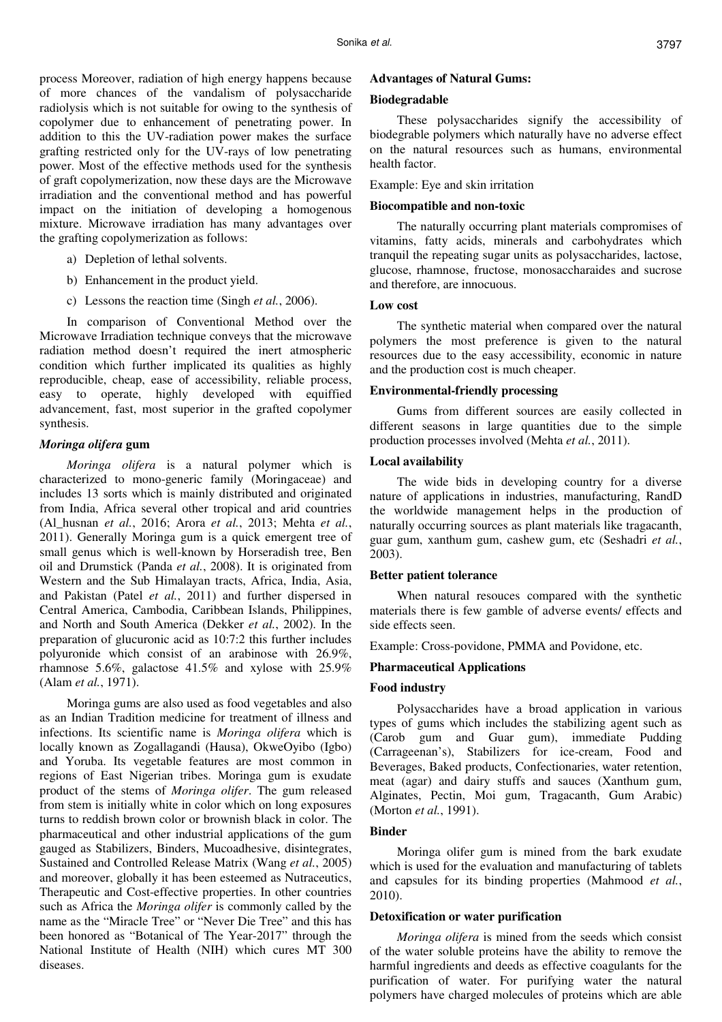process Moreover, radiation of high energy happens because of more chances of the vandalism of polysaccharide radiolysis which is not suitable for owing to the synthesis of copolymer due to enhancement of penetrating power. In addition to this the UV-radiation power makes the surface grafting restricted only for the UV-rays of low penetrating power. Most of the effective methods used for the synthesis of graft copolymerization, now these days are the Microwave irradiation and the conventional method and has powerful impact on the initiation of developing a homogenous mixture. Microwave irradiation has many advantages over the grafting copolymerization as follows:

- a) Depletion of lethal solvents.
- b) Enhancement in the product yield.
- c) Lessons the reaction time (Singh *et al.*, 2006).

In comparison of Conventional Method over the Microwave Irradiation technique conveys that the microwave radiation method doesn't required the inert atmospheric condition which further implicated its qualities as highly reproducible, cheap, ease of accessibility, reliable process, easy to operate, highly developed with equiffied advancement, fast, most superior in the grafted copolymer synthesis.

#### *Moringa olifera* **gum**

*Moringa olifera* is a natural polymer which is characterized to mono-generic family (Moringaceae) and includes 13 sorts which is mainly distributed and originated from India, Africa several other tropical and arid countries (Al\_husnan *et al.*, 2016; Arora *et al.*, 2013; Mehta *et al.*, 2011). Generally Moringa gum is a quick emergent tree of small genus which is well-known by Horseradish tree, Ben oil and Drumstick (Panda *et al.*, 2008). It is originated from Western and the Sub Himalayan tracts, Africa, India, Asia, and Pakistan (Patel *et al.*, 2011) and further dispersed in Central America, Cambodia, Caribbean Islands, Philippines, and North and South America (Dekker *et al.*, 2002). In the preparation of glucuronic acid as 10:7:2 this further includes polyuronide which consist of an arabinose with 26.9%, rhamnose 5.6%, galactose 41.5% and xylose with 25.9% (Alam *et al.*, 1971).

Moringa gums are also used as food vegetables and also as an Indian Tradition medicine for treatment of illness and infections. Its scientific name is *Moringa olifera* which is locally known as Zogallagandi (Hausa), OkweOyibo (Igbo) and Yoruba. Its vegetable features are most common in regions of East Nigerian tribes. Moringa gum is exudate product of the stems of *Moringa olifer*. The gum released from stem is initially white in color which on long exposures turns to reddish brown color or brownish black in color. The pharmaceutical and other industrial applications of the gum gauged as Stabilizers, Binders, Mucoadhesive, disintegrates, Sustained and Controlled Release Matrix (Wang *et al.*, 2005) and moreover, globally it has been esteemed as Nutraceutics, Therapeutic and Cost-effective properties. In other countries such as Africa the *Moringa olifer* is commonly called by the name as the "Miracle Tree" or "Never Die Tree" and this has been honored as "Botanical of The Year-2017" through the National Institute of Health (NIH) which cures MT 300 diseases.

### **Advantages of Natural Gums:**

### **Biodegradable**

These polysaccharides signify the accessibility of biodegrable polymers which naturally have no adverse effect on the natural resources such as humans, environmental health factor.

Example: Eye and skin irritation

#### **Biocompatible and non-toxic**

The naturally occurring plant materials compromises of vitamins, fatty acids, minerals and carbohydrates which tranquil the repeating sugar units as polysaccharides, lactose, glucose, rhamnose, fructose, monosaccharaides and sucrose and therefore, are innocuous.

### **Low cost**

The synthetic material when compared over the natural polymers the most preference is given to the natural resources due to the easy accessibility, economic in nature and the production cost is much cheaper.

### **Environmental-friendly processing**

Gums from different sources are easily collected in different seasons in large quantities due to the simple production processes involved (Mehta *et al.*, 2011).

### **Local availability**

The wide bids in developing country for a diverse nature of applications in industries, manufacturing, RandD the worldwide management helps in the production of naturally occurring sources as plant materials like tragacanth, guar gum, xanthum gum, cashew gum, etc (Seshadri *et al.*, 2003).

### **Better patient tolerance**

When natural resouces compared with the synthetic materials there is few gamble of adverse events/ effects and side effects seen.

Example: Cross-povidone, PMMA and Povidone, etc.

### **Pharmaceutical Applications**

#### **Food industry**

Polysaccharides have a broad application in various types of gums which includes the stabilizing agent such as (Carob gum and Guar gum), immediate Pudding (Carrageenan's), Stabilizers for ice-cream, Food and Beverages, Baked products, Confectionaries, water retention, meat (agar) and dairy stuffs and sauces (Xanthum gum, Alginates, Pectin, Moi gum, Tragacanth, Gum Arabic) (Morton *et al.*, 1991).

# **Binder**

Moringa olifer gum is mined from the bark exudate which is used for the evaluation and manufacturing of tablets and capsules for its binding properties (Mahmood *et al.*, 2010).

#### **Detoxification or water purification**

*Moringa olifera* is mined from the seeds which consist of the water soluble proteins have the ability to remove the harmful ingredients and deeds as effective coagulants for the purification of water. For purifying water the natural polymers have charged molecules of proteins which are able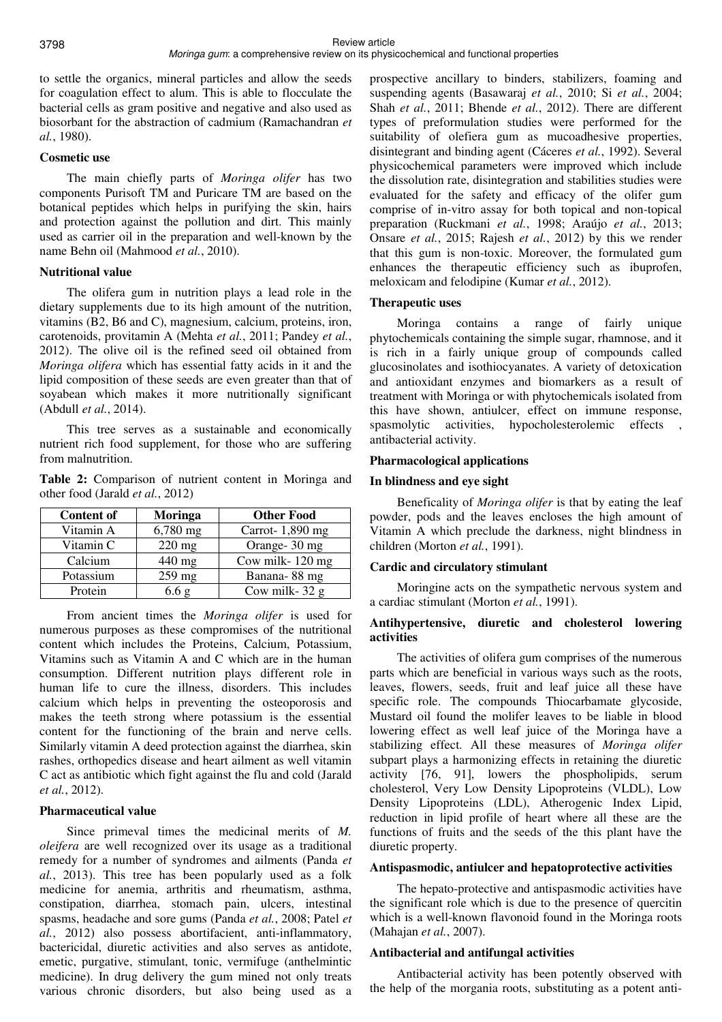to settle the organics, mineral particles and allow the seeds for coagulation effect to alum. This is able to flocculate the bacterial cells as gram positive and negative and also used as biosorbant for the abstraction of cadmium (Ramachandran *et al.*, 1980).

# **Cosmetic use**

The main chiefly parts of *Moringa olifer* has two components Purisoft TM and Puricare TM are based on the botanical peptides which helps in purifying the skin, hairs and protection against the pollution and dirt. This mainly used as carrier oil in the preparation and well-known by the name Behn oil (Mahmood *et al.*, 2010).

### **Nutritional value**

The olifera gum in nutrition plays a lead role in the dietary supplements due to its high amount of the nutrition, vitamins (B2, B6 and C), magnesium, calcium, proteins, iron, carotenoids, provitamin A (Mehta *et al.*, 2011; Pandey *et al.*, 2012). The olive oil is the refined seed oil obtained from *Moringa olifera* which has essential fatty acids in it and the lipid composition of these seeds are even greater than that of soyabean which makes it more nutritionally significant (Abdull *et al.*, 2014).

This tree serves as a sustainable and economically nutrient rich food supplement, for those who are suffering from malnutrition.

**Table 2:** Comparison of nutrient content in Moringa and other food (Jarald *et al.*, 2012)

| <b>Content of</b> | Moringa    | <b>Other Food</b> |
|-------------------|------------|-------------------|
| Vitamin A         | $6,780$ mg | Carrot-1,890 mg   |
| Vitamin C         | $220$ mg   | Orange- 30 mg     |
| Calcium           | 440 mg     | Cow milk-120 mg   |
| Potassium         | $259$ mg   | Banana-88 mg      |
| Protein           | 6.6g       | Cow milk- $32 g$  |

From ancient times the *Moringa olifer* is used for numerous purposes as these compromises of the nutritional content which includes the Proteins, Calcium, Potassium, Vitamins such as Vitamin A and C which are in the human consumption. Different nutrition plays different role in human life to cure the illness, disorders. This includes calcium which helps in preventing the osteoporosis and makes the teeth strong where potassium is the essential content for the functioning of the brain and nerve cells. Similarly vitamin A deed protection against the diarrhea, skin rashes, orthopedics disease and heart ailment as well vitamin C act as antibiotic which fight against the flu and cold (Jarald *et al.*, 2012).

# **Pharmaceutical value**

Since primeval times the medicinal merits of *M. oleifera* are well recognized over its usage as a traditional remedy for a number of syndromes and ailments (Panda *et al.*, 2013). This tree has been popularly used as a folk medicine for anemia, arthritis and rheumatism, asthma, constipation, diarrhea, stomach pain, ulcers, intestinal spasms, headache and sore gums (Panda *et al.*, 2008; Patel *et al.*, 2012) also possess abortifacient, anti-inflammatory, bactericidal, diuretic activities and also serves as antidote, emetic, purgative, stimulant, tonic, vermifuge (anthelmintic medicine). In drug delivery the gum mined not only treats various chronic disorders, but also being used as a prospective ancillary to binders, stabilizers, foaming and suspending agents (Basawaraj *et al.*, 2010; Si *et al.*, 2004; Shah *et al.*, 2011; Bhende *et al.*, 2012). There are different types of preformulation studies were performed for the suitability of olefiera gum as mucoadhesive properties, disintegrant and binding agent (Cáceres *et al.*, 1992). Several physicochemical parameters were improved which include the dissolution rate, disintegration and stabilities studies were evaluated for the safety and efficacy of the olifer gum comprise of in-vitro assay for both topical and non-topical preparation (Ruckmani *et al.*, 1998; Araújo *et al.*, 2013; Onsare *et al.*, 2015; Rajesh *et al.*, 2012) by this we render that this gum is non-toxic. Moreover, the formulated gum enhances the therapeutic efficiency such as ibuprofen, meloxicam and felodipine (Kumar *et al.*, 2012).

### **Therapeutic uses**

Moringa contains a range of fairly unique phytochemicals containing the simple sugar, rhamnose, and it is rich in a fairly unique group of compounds called glucosinolates and isothiocyanates. A variety of detoxication and antioxidant enzymes and biomarkers as a result of treatment with Moringa or with phytochemicals isolated from this have shown, antiulcer, effect on immune response, spasmolytic activities, hypocholesterolemic effects , antibacterial activity.

### **Pharmacological applications**

# **In blindness and eye sight**

Beneficality of *Moringa olifer* is that by eating the leaf powder, pods and the leaves encloses the high amount of Vitamin A which preclude the darkness, night blindness in children (Morton *et al.*, 1991).

# **Cardic and circulatory stimulant**

Moringine acts on the sympathetic nervous system and a cardiac stimulant (Morton *et al.*, 1991).

# **Antihypertensive, diuretic and cholesterol lowering activities**

The activities of olifera gum comprises of the numerous parts which are beneficial in various ways such as the roots, leaves, flowers, seeds, fruit and leaf juice all these have specific role. The compounds Thiocarbamate glycoside, Mustard oil found the molifer leaves to be liable in blood lowering effect as well leaf juice of the Moringa have a stabilizing effect. All these measures of *Moringa olifer* subpart plays a harmonizing effects in retaining the diuretic activity [76, 91], lowers the phospholipids, serum cholesterol, Very Low Density Lipoproteins (VLDL), Low Density Lipoproteins (LDL), Atherogenic Index Lipid, reduction in lipid profile of heart where all these are the functions of fruits and the seeds of the this plant have the diuretic property.

### **Antispasmodic, antiulcer and hepatoprotective activities**

The hepato-protective and antispasmodic activities have the significant role which is due to the presence of quercitin which is a well-known flavonoid found in the Moringa roots (Mahajan *et al.*, 2007).

### **Antibacterial and antifungal activities**

Antibacterial activity has been potently observed with the help of the morgania roots, substituting as a potent anti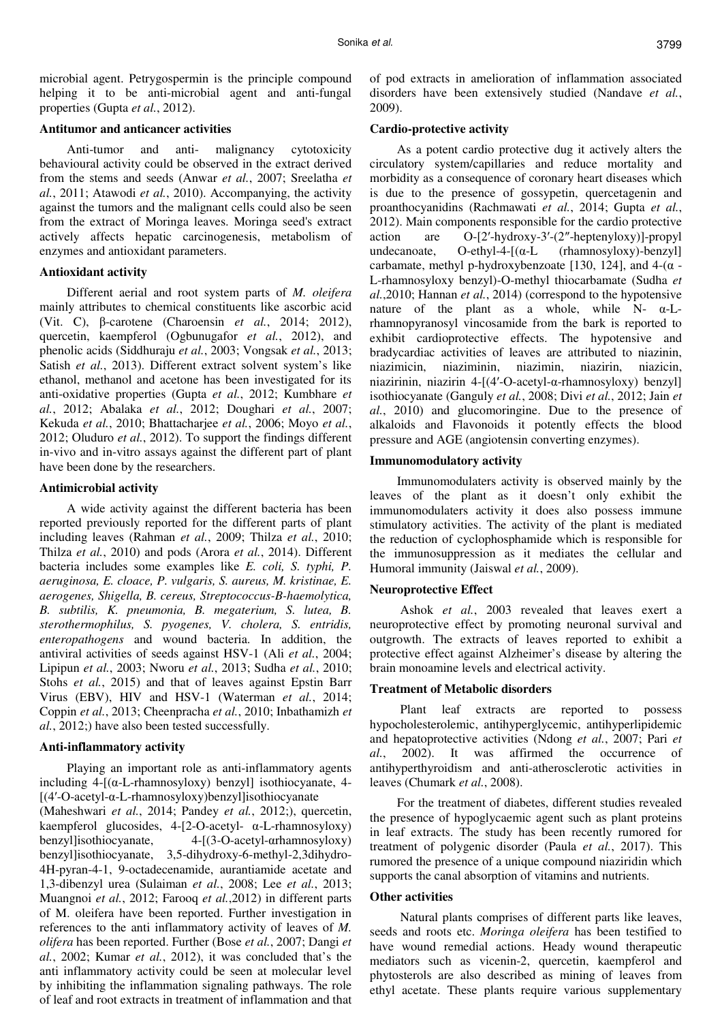microbial agent. Petrygospermin is the principle compound helping it to be anti-microbial agent and anti-fungal properties (Gupta *et al.*, 2012).

### **Antitumor and anticancer activities**

Anti-tumor and anti- malignancy cytotoxicity behavioural activity could be observed in the extract derived from the stems and seeds (Anwar *et al.*, 2007; Sreelatha *et al.*, 2011; Atawodi *et al.*, 2010). Accompanying, the activity against the tumors and the malignant cells could also be seen from the extract of Moringa leaves. Moringa seed's extract actively affects hepatic carcinogenesis, metabolism of enzymes and antioxidant parameters.

### **Antioxidant activity**

Different aerial and root system parts of *M. oleifera* mainly attributes to chemical constituents like ascorbic acid (Vit. C), β-carotene (Charoensin *et al.*, 2014; 2012), quercetin, kaempferol (Ogbunugafor *et al.*, 2012), and phenolic acids (Siddhuraju *et al.*, 2003; Vongsak *et al.*, 2013; Satish *et al.*, 2013). Different extract solvent system's like ethanol, methanol and acetone has been investigated for its anti-oxidative properties (Gupta *et al.*, 2012; Kumbhare *et al.*, 2012; Abalaka *et al.*, 2012; Doughari *et al.*, 2007; Kekuda *et al.*, 2010; Bhattacharjee *et al.*, 2006; Moyo *et al.*, 2012; Oluduro *et al.*, 2012). To support the findings different in-vivo and in-vitro assays against the different part of plant have been done by the researchers.

### **Antimicrobial activity**

A wide activity against the different bacteria has been reported previously reported for the different parts of plant including leaves (Rahman *et al.*, 2009; Thilza *et al.*, 2010; Thilza *et al.*, 2010) and pods (Arora *et al.*, 2014). Different bacteria includes some examples like *E. coli, S. typhi, P. aeruginosa, E. cloace, P. vulgaris, S. aureus, M. kristinae, E. aerogenes, Shigella, B. cereus, Streptococcus-B-haemolytica, B. subtilis, K. pneumonia, B. megaterium, S. lutea, B. sterothermophilus, S. pyogenes, V. cholera, S. entridis, enteropathogens* and wound bacteria. In addition, the antiviral activities of seeds against HSV-1 (Ali *et al.*, 2004; Lipipun *et al.*, 2003; Nworu *et al.*, 2013; Sudha *et al.*, 2010; Stohs *et al.*, 2015) and that of leaves against Epstin Barr Virus (EBV), HIV and HSV-1 (Waterman *et al.*, 2014; Coppin *et al.*, 2013; Cheenpracha *et al.*, 2010; Inbathamizh *et al.*, 2012;) have also been tested successfully.

### **Anti-inflammatory activity**

Playing an important role as anti-inflammatory agents including  $4-[(\alpha-L-rhamnosyloxy)$  benzyl isothiocyanate, 4-[(4′-O-acetyl-α-L-rhamnosyloxy)benzyl]isothiocyanate (Maheshwari *et al.*, 2014; Pandey *et al.*, 2012;), quercetin, kaempferol glucosides, 4-[2-O-acetyl- α-L-rhamnosyloxy) benzyl]isothiocyanate, 4-[(3-O-acetyl-αrhamnosyloxy) benzyl]isothiocyanate, 3,5-dihydroxy-6-methyl-2,3dihydro-4H-pyran-4-1, 9-octadecenamide, aurantiamide acetate and 1,3-dibenzyl urea (Sulaiman *et al.*, 2008; Lee *et al.*, 2013; Muangnoi *et al.*, 2012; Farooq *et al.*,2012) in different parts of M. oleifera have been reported. Further investigation in references to the anti inflammatory activity of leaves of *M. olifera* has been reported. Further (Bose *et al.*, 2007; Dangi *et al.*, 2002; Kumar *et al.*, 2012), it was concluded that's the anti inflammatory activity could be seen at molecular level by inhibiting the inflammation signaling pathways. The role of leaf and root extracts in treatment of inflammation and that of pod extracts in amelioration of inflammation associated disorders have been extensively studied (Nandave *et al.*, 2009).

### **Cardio-protective activity**

As a potent cardio protective dug it actively alters the circulatory system/capillaries and reduce mortality and morbidity as a consequence of coronary heart diseases which is due to the presence of gossypetin, quercetagenin and proanthocyanidins (Rachmawati *et al.*, 2014; Gupta *et al.*, 2012). Main components responsible for the cardio protective action are O-[2′-hydroxy-3′-(2″-heptenyloxy)]-propyl undecanoate,  $O-\text{ethyl-4-}[(\alpha-L \text{ (rhamnosyloxy)}-\text{benzy}]]$ carbamate, methyl p-hydroxybenzoate [130, 124], and  $4-(\alpha -$ L-rhamnosyloxy benzyl)-O-methyl thiocarbamate (Sudha *et al.*,2010; Hannan *et al.*, 2014) (correspond to the hypotensive nature of the plant as a whole, while  $N-\alpha$ -Lrhamnopyranosyl vincosamide from the bark is reported to exhibit cardioprotective effects. The hypotensive and bradycardiac activities of leaves are attributed to niazinin, niazimicin, niaziminin, niazimin, niazirin, niazicin, niazirinin, niazirin 4-[(4′-O-acetyl-α-rhamnosyloxy) benzyl] isothiocyanate (Ganguly *et al.*, 2008; Divi *et al.*, 2012; Jain *et al.*, 2010) and glucomoringine. Due to the presence of alkaloids and Flavonoids it potently effects the blood pressure and AGE (angiotensin converting enzymes).

### **Immunomodulatory activity**

Immunomodulaters activity is observed mainly by the leaves of the plant as it doesn't only exhibit the immunomodulaters activity it does also possess immune stimulatory activities. The activity of the plant is mediated the reduction of cyclophosphamide which is responsible for the immunosuppression as it mediates the cellular and Humoral immunity (Jaiswal *et al.*, 2009).

### **Neuroprotective Effect**

 Ashok *et al.*, 2003 revealed that leaves exert a neuroprotective effect by promoting neuronal survival and outgrowth. The extracts of leaves reported to exhibit a protective effect against Alzheimer's disease by altering the brain monoamine levels and electrical activity.

### **Treatment of Metabolic disorders**

 Plant leaf extracts are reported to possess hypocholesterolemic, antihyperglycemic, antihyperlipidemic and hepatoprotective activities (Ndong *et al.*, 2007; Pari *et al.*, 2002). It was affirmed the occurrence of antihyperthyroidism and anti-atherosclerotic activities in leaves (Chumark *et al.*, 2008).

For the treatment of diabetes, different studies revealed the presence of hypoglycaemic agent such as plant proteins in leaf extracts. The study has been recently rumored for treatment of polygenic disorder (Paula *et al.*, 2017). This rumored the presence of a unique compound niaziridin which supports the canal absorption of vitamins and nutrients.

### **Other activities**

 Natural plants comprises of different parts like leaves, seeds and roots etc. *Moringa oleifera* has been testified to have wound remedial actions. Heady wound therapeutic mediators such as vicenin-2, quercetin, kaempferol and phytosterols are also described as mining of leaves from ethyl acetate. These plants require various supplementary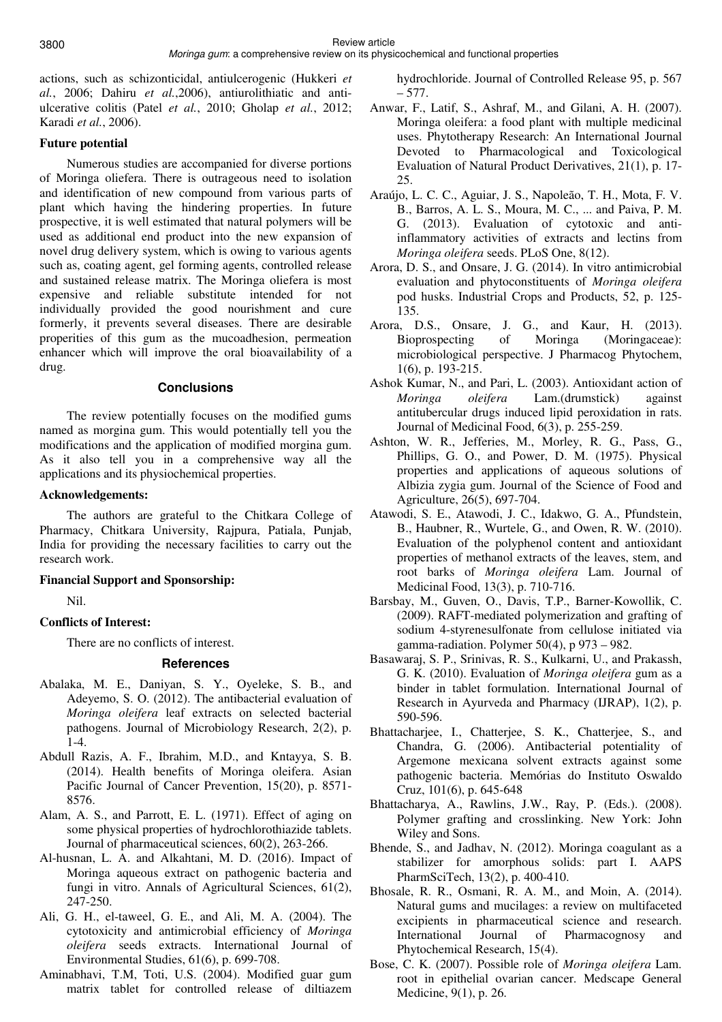### Moringa gum: a comprehensive review on its physicochemical and functional properties

actions, such as schizonticidal, antiulcerogenic (Hukkeri *et al.*, 2006; Dahiru *et al.*,2006), antiurolithiatic and antiulcerative colitis (Patel *et al.*, 2010; Gholap *et al.*, 2012; Karadi *et al.*, 2006).

# **Future potential**

Numerous studies are accompanied for diverse portions of Moringa oliefera. There is outrageous need to isolation and identification of new compound from various parts of plant which having the hindering properties. In future prospective, it is well estimated that natural polymers will be used as additional end product into the new expansion of novel drug delivery system, which is owing to various agents such as, coating agent, gel forming agents, controlled release and sustained release matrix. The Moringa oliefera is most expensive and reliable substitute intended for not individually provided the good nourishment and cure formerly, it prevents several diseases. There are desirable properities of this gum as the mucoadhesion, permeation enhancer which will improve the oral bioavailability of a drug.

# **Conclusions**

The review potentially focuses on the modified gums named as morgina gum. This would potentially tell you the modifications and the application of modified morgina gum. As it also tell you in a comprehensive way all the applications and its physiochemical properties.

# **Acknowledgements:**

The authors are grateful to the Chitkara College of Pharmacy, Chitkara University, Rajpura, Patiala, Punjab, India for providing the necessary facilities to carry out the research work.

# **Financial Support and Sponsorship:**

Nil.

# **Conflicts of Interest:**

There are no conflicts of interest.

# **References**

- Abalaka, M. E., Daniyan, S. Y., Oyeleke, S. B., and Adeyemo, S. O. (2012). The antibacterial evaluation of *Moringa oleifera* leaf extracts on selected bacterial pathogens. Journal of Microbiology Research, 2(2), p. 1-4.
- Abdull Razis, A. F., Ibrahim, M.D., and Kntayya, S. B. (2014). Health benefits of Moringa oleifera. Asian Pacific Journal of Cancer Prevention, 15(20), p. 8571- 8576.
- Alam, A. S., and Parrott, E. L. (1971). Effect of aging on some physical properties of hydrochlorothiazide tablets. Journal of pharmaceutical sciences, 60(2), 263-266.
- Al-husnan, L. A. and Alkahtani, M. D. (2016). Impact of Moringa aqueous extract on pathogenic bacteria and fungi in vitro. Annals of Agricultural Sciences, 61(2), 247-250.
- Ali, G. H., el-taweel, G. E., and Ali, M. A. (2004). The cytotoxicity and antimicrobial efficiency of *Moringa oleifera* seeds extracts. International Journal of Environmental Studies, 61(6), p. 699-708.
- Aminabhavi, T.M, Toti, U.S. (2004). Modified guar gum matrix tablet for controlled release of diltiazem

hydrochloride. Journal of Controlled Release 95, p. 567 – 577.

- Anwar, F., Latif, S., Ashraf, M., and Gilani, A. H. (2007). Moringa oleifera: a food plant with multiple medicinal uses. Phytotherapy Research: An International Journal Devoted to Pharmacological and Toxicological Evaluation of Natural Product Derivatives, 21(1), p. 17- 25.
- Araújo, L. C. C., Aguiar, J. S., Napoleão, T. H., Mota, F. V. B., Barros, A. L. S., Moura, M. C., ... and Paiva, P. M. G. (2013). Evaluation of cytotoxic and antiinflammatory activities of extracts and lectins from *Moringa oleifera* seeds. PLoS One, 8(12).
- Arora, D. S., and Onsare, J. G. (2014). In vitro antimicrobial evaluation and phytoconstituents of *Moringa oleifera*  pod husks. Industrial Crops and Products, 52, p. 125- 135.
- Arora, D.S., Onsare, J. G., and Kaur, H. (2013). Bioprospecting of Moringa (Moringaceae): microbiological perspective. J Pharmacog Phytochem, 1(6), p. 193-215.
- Ashok Kumar, N., and Pari, L. (2003). Antioxidant action of *Moringa oleifera* Lam.(drumstick) against antitubercular drugs induced lipid peroxidation in rats. Journal of Medicinal Food, 6(3), p. 255-259.
- Ashton, W. R., Jefferies, M., Morley, R. G., Pass, G., Phillips, G. O., and Power, D. M. (1975). Physical properties and applications of aqueous solutions of Albizia zygia gum. Journal of the Science of Food and Agriculture, 26(5), 697-704.
- Atawodi, S. E., Atawodi, J. C., Idakwo, G. A., Pfundstein, B., Haubner, R., Wurtele, G., and Owen, R. W. (2010). Evaluation of the polyphenol content and antioxidant properties of methanol extracts of the leaves, stem, and root barks of *Moringa oleifera* Lam. Journal of Medicinal Food, 13(3), p. 710-716.
- Barsbay, M., Guven, O., Davis, T.P., Barner-Kowollik, C. (2009). RAFT-mediated polymerization and grafting of sodium 4-styrenesulfonate from cellulose initiated via gamma-radiation. Polymer  $50(4)$ , p  $973 - 982$ .
- Basawaraj, S. P., Srinivas, R. S., Kulkarni, U., and Prakassh, G. K. (2010). Evaluation of *Moringa oleifera* gum as a binder in tablet formulation. International Journal of Research in Ayurveda and Pharmacy (IJRAP), 1(2), p. 590-596.
- Bhattacharjee, I., Chatterjee, S. K., Chatterjee, S., and Chandra, G. (2006). Antibacterial potentiality of Argemone mexicana solvent extracts against some pathogenic bacteria. Memórias do Instituto Oswaldo Cruz, 101(6), p. 645-648
- Bhattacharya, A., Rawlins, J.W., Ray, P. (Eds.). (2008). Polymer grafting and crosslinking. New York: John Wiley and Sons.
- Bhende, S., and Jadhav, N. (2012). Moringa coagulant as a stabilizer for amorphous solids: part I. AAPS PharmSciTech, 13(2), p. 400-410.
- Bhosale, R. R., Osmani, R. A. M., and Moin, A. (2014). Natural gums and mucilages: a review on multifaceted excipients in pharmaceutical science and research. International Journal of Pharmacognosy and Phytochemical Research, 15(4).
- Bose, C. K. (2007). Possible role of *Moringa oleifera* Lam. root in epithelial ovarian cancer. Medscape General Medicine, 9(1), p. 26.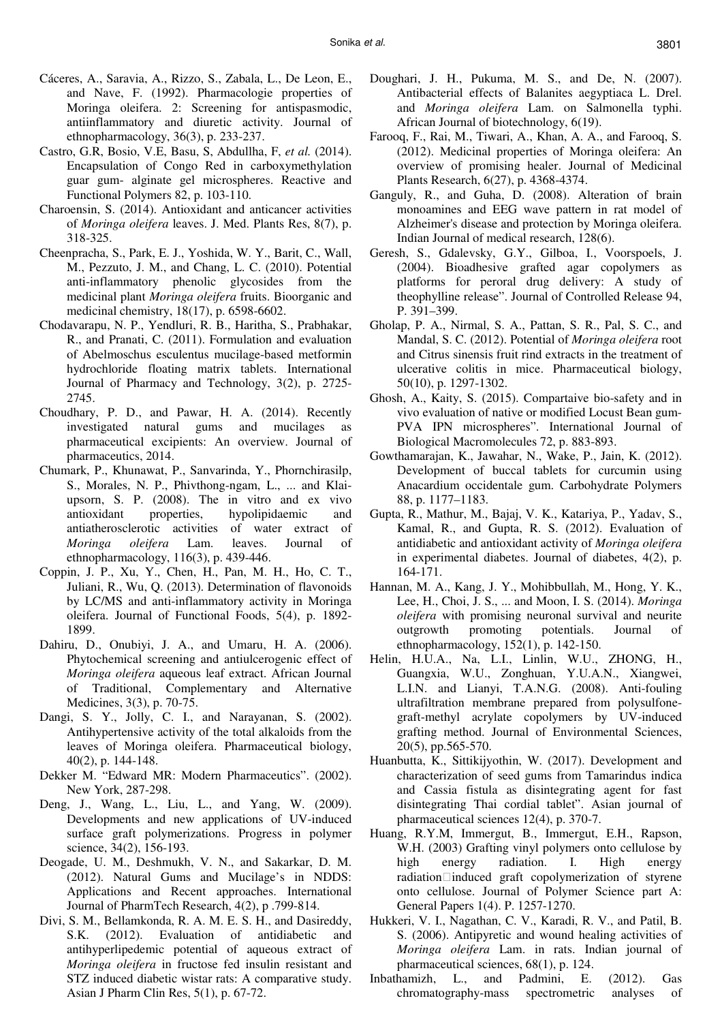- Cáceres, A., Saravia, A., Rizzo, S., Zabala, L., De Leon, E., and Nave, F. (1992). Pharmacologie properties of Moringa oleifera. 2: Screening for antispasmodic, antiinflammatory and diuretic activity. Journal of ethnopharmacology, 36(3), p. 233-237.
- Castro, G.R, Bosio, V.E, Basu, S, Abdullha, F, *et al.* (2014). Encapsulation of Congo Red in carboxymethylation guar gum- alginate gel microspheres. Reactive and Functional Polymers 82, p. 103-110.
- Charoensin, S. (2014). Antioxidant and anticancer activities of *Moringa oleifera* leaves. J. Med. Plants Res, 8(7), p. 318-325.
- Cheenpracha, S., Park, E. J., Yoshida, W. Y., Barit, C., Wall, M., Pezzuto, J. M., and Chang, L. C. (2010). Potential anti-inflammatory phenolic glycosides from the medicinal plant *Moringa oleifera* fruits. Bioorganic and medicinal chemistry, 18(17), p. 6598-6602.
- Chodavarapu, N. P., Yendluri, R. B., Haritha, S., Prabhakar, R., and Pranati, C. (2011). Formulation and evaluation of Abelmoschus esculentus mucilage-based metformin hydrochloride floating matrix tablets. International Journal of Pharmacy and Technology, 3(2), p. 2725- 2745.
- Choudhary, P. D., and Pawar, H. A. (2014). Recently investigated natural gums and mucilages as pharmaceutical excipients: An overview. Journal of pharmaceutics, 2014.
- Chumark, P., Khunawat, P., Sanvarinda, Y., Phornchirasilp, S., Morales, N. P., Phivthong-ngam, L., ... and Klaiupsorn, S. P. (2008). The in vitro and ex vivo antioxidant properties, hypolipidaemic and antiatherosclerotic activities of water extract of *Moringa oleifera* Lam. leaves. Journal of ethnopharmacology, 116(3), p. 439-446.
- Coppin, J. P., Xu, Y., Chen, H., Pan, M. H., Ho, C. T., Juliani, R., Wu, Q. (2013). Determination of flavonoids by LC/MS and anti-inflammatory activity in Moringa oleifera. Journal of Functional Foods, 5(4), p. 1892- 1899.
- Dahiru, D., Onubiyi, J. A., and Umaru, H. A. (2006). Phytochemical screening and antiulcerogenic effect of *Moringa oleifera* aqueous leaf extract. African Journal of Traditional, Complementary and Alternative Medicines, 3(3), p. 70-75.
- Dangi, S. Y., Jolly, C. I., and Narayanan, S. (2002). Antihypertensive activity of the total alkaloids from the leaves of Moringa oleifera. Pharmaceutical biology, 40(2), p. 144-148.
- Dekker M. "Edward MR: Modern Pharmaceutics". (2002). New York, 287-298.
- Deng, J., Wang, L., Liu, L., and Yang, W. (2009). Developments and new applications of UV-induced surface graft polymerizations. Progress in polymer science, 34(2), 156-193.
- Deogade, U. M., Deshmukh, V. N., and Sakarkar, D. M. (2012). Natural Gums and Mucilage's in NDDS: Applications and Recent approaches. International Journal of PharmTech Research, 4(2), p .799-814.
- Divi, S. M., Bellamkonda, R. A. M. E. S. H., and Dasireddy, S.K. (2012). Evaluation of antidiabetic and antihyperlipedemic potential of aqueous extract of *Moringa oleifera* in fructose fed insulin resistant and STZ induced diabetic wistar rats: A comparative study. Asian J Pharm Clin Res, 5(1), p. 67-72.
- Doughari, J. H., Pukuma, M. S., and De, N. (2007). Antibacterial effects of Balanites aegyptiaca L. Drel. and *Moringa oleifera* Lam. on Salmonella typhi. African Journal of biotechnology, 6(19).
- Farooq, F., Rai, M., Tiwari, A., Khan, A. A., and Farooq, S. (2012). Medicinal properties of Moringa oleifera: An overview of promising healer. Journal of Medicinal Plants Research, 6(27), p. 4368-4374.
- Ganguly, R., and Guha, D. (2008). Alteration of brain monoamines and EEG wave pattern in rat model of Alzheimer's disease and protection by Moringa oleifera. Indian Journal of medical research, 128(6).
- Geresh, S., Gdalevsky, G.Y., Gilboa, I., Voorspoels, J. (2004). Bioadhesive grafted agar copolymers as platforms for peroral drug delivery: A study of theophylline release". Journal of Controlled Release 94, P. 391–399.
- Gholap, P. A., Nirmal, S. A., Pattan, S. R., Pal, S. C., and Mandal, S. C. (2012). Potential of *Moringa oleifera* root and Citrus sinensis fruit rind extracts in the treatment of ulcerative colitis in mice. Pharmaceutical biology, 50(10), p. 1297-1302.
- Ghosh, A., Kaity, S. (2015). Compartaive bio-safety and in vivo evaluation of native or modified Locust Bean gum-PVA IPN microspheres". International Journal of Biological Macromolecules 72, p. 883-893.
- Gowthamarajan, K., Jawahar, N., Wake, P., Jain, K. (2012). Development of buccal tablets for curcumin using Anacardium occidentale gum. Carbohydrate Polymers 88, p. 1177–1183.
- Gupta, R., Mathur, M., Bajaj, V. K., Katariya, P., Yadav, S., Kamal, R., and Gupta, R. S. (2012). Evaluation of antidiabetic and antioxidant activity of *Moringa oleifera*  in experimental diabetes. Journal of diabetes, 4(2), p. 164-171.
- Hannan, M. A., Kang, J. Y., Mohibbullah, M., Hong, Y. K., Lee, H., Choi, J. S., ... and Moon, I. S. (2014). *Moringa oleifera* with promising neuronal survival and neurite outgrowth promoting potentials. Journal of ethnopharmacology, 152(1), p. 142-150.
- Helin, H.U.A., Na, L.I., Linlin, W.U., ZHONG, H., Guangxia, W.U., Zonghuan, Y.U.A.N., Xiangwei, L.I.N. and Lianyi, T.A.N.G. (2008). Anti-fouling ultrafiltration membrane prepared from polysulfonegraft-methyl acrylate copolymers by UV-induced grafting method. Journal of Environmental Sciences, 20(5), pp.565-570.
- Huanbutta, K., Sittikijyothin, W. (2017). Development and characterization of seed gums from Tamarindus indica and Cassia fistula as disintegrating agent for fast disintegrating Thai cordial tablet". Asian journal of pharmaceutical sciences 12(4), p. 370-7.
- Huang, R.Y.M, Immergut, B., Immergut, E.H., Rapson, W.H. (2003) Grafting vinyl polymers onto cellulose by high energy radiation. I. High energy  $radiation$  $\Box$ induced graft copolymerization of styrene onto cellulose. Journal of Polymer Science part A: General Papers 1(4). P. 1257-1270.
- Hukkeri, V. I., Nagathan, C. V., Karadi, R. V., and Patil, B. S. (2006). Antipyretic and wound healing activities of *Moringa oleifera* Lam. in rats. Indian journal of pharmaceutical sciences, 68(1), p. 124.
- Inbathamizh, L., and Padmini, E. (2012). Gas chromatography-mass spectrometric analyses of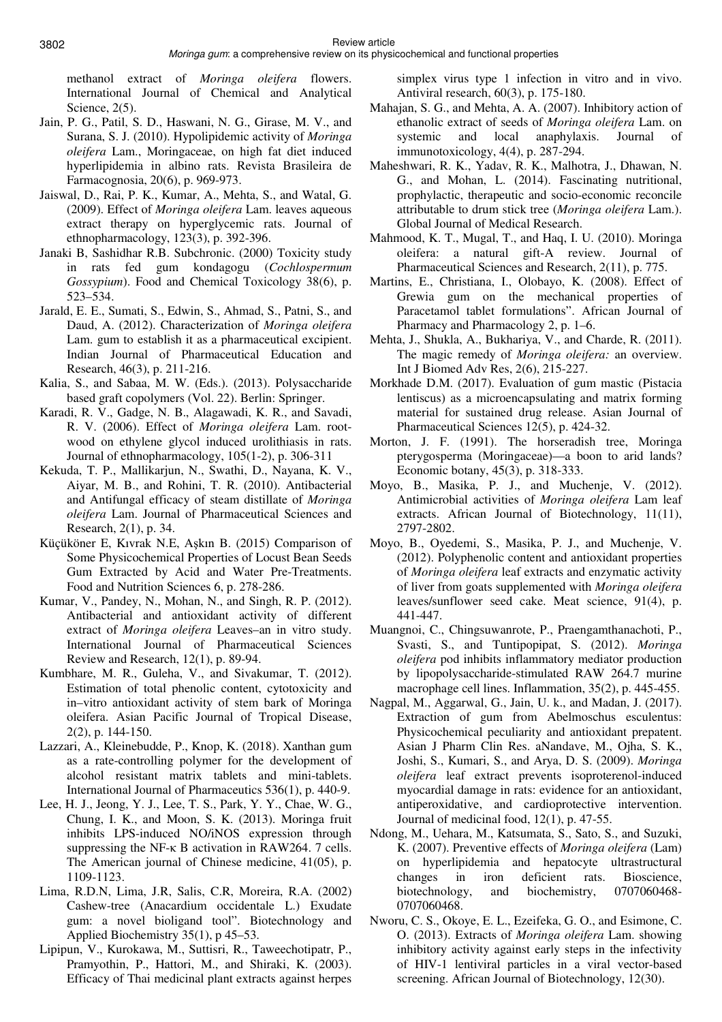methanol extract of *Moringa oleifera* flowers. International Journal of Chemical and Analytical Science,  $2(5)$ .

- Jain, P. G., Patil, S. D., Haswani, N. G., Girase, M. V., and Surana, S. J. (2010). Hypolipidemic activity of *Moringa oleifera* Lam., Moringaceae, on high fat diet induced hyperlipidemia in albino rats. Revista Brasileira de Farmacognosia, 20(6), p. 969-973.
- Jaiswal, D., Rai, P. K., Kumar, A., Mehta, S., and Watal, G. (2009). Effect of *Moringa oleifera* Lam. leaves aqueous extract therapy on hyperglycemic rats. Journal of ethnopharmacology, 123(3), p. 392-396.
- Janaki B, Sashidhar R.B. Subchronic. (2000) Toxicity study in rats fed gum kondagogu (*Cochlospermum Gossypium*). Food and Chemical Toxicology 38(6), p. 523–534.
- Jarald, E. E., Sumati, S., Edwin, S., Ahmad, S., Patni, S., and Daud, A. (2012). Characterization of *Moringa oleifera*  Lam. gum to establish it as a pharmaceutical excipient. Indian Journal of Pharmaceutical Education and Research, 46(3), p. 211-216.
- Kalia, S., and Sabaa, M. W. (Eds.). (2013). Polysaccharide based graft copolymers (Vol. 22). Berlin: Springer.
- Karadi, R. V., Gadge, N. B., Alagawadi, K. R., and Savadi, R. V. (2006). Effect of *Moringa oleifera* Lam. rootwood on ethylene glycol induced urolithiasis in rats. Journal of ethnopharmacology, 105(1-2), p. 306-311
- Kekuda, T. P., Mallikarjun, N., Swathi, D., Nayana, K. V., Aiyar, M. B., and Rohini, T. R. (2010). Antibacterial and Antifungal efficacy of steam distillate of *Moringa oleifera* Lam. Journal of Pharmaceutical Sciences and Research, 2(1), p. 34.
- Küçüköner E, Kıvrak N.E, Aşkın B. (2015) Comparison of Some Physicochemical Properties of Locust Bean Seeds Gum Extracted by Acid and Water Pre-Treatments. Food and Nutrition Sciences 6, p. 278-286.
- Kumar, V., Pandey, N., Mohan, N., and Singh, R. P. (2012). Antibacterial and antioxidant activity of different extract of *Moringa oleifera* Leaves–an in vitro study. International Journal of Pharmaceutical Sciences Review and Research, 12(1), p. 89-94.
- Kumbhare, M. R., Guleha, V., and Sivakumar, T. (2012). Estimation of total phenolic content, cytotoxicity and in–vitro antioxidant activity of stem bark of Moringa oleifera. Asian Pacific Journal of Tropical Disease, 2(2), p. 144-150.
- Lazzari, A., Kleinebudde, P., Knop, K. (2018). Xanthan gum as a rate-controlling polymer for the development of alcohol resistant matrix tablets and mini-tablets. International Journal of Pharmaceutics 536(1), p. 440-9.
- Lee, H. J., Jeong, Y. J., Lee, T. S., Park, Y. Y., Chae, W. G., Chung, I. K., and Moon, S. K. (2013). Moringa fruit inhibits LPS-induced NO/iNOS expression through suppressing the NF-κ B activation in RAW264. 7 cells. The American journal of Chinese medicine, 41(05), p. 1109-1123.
- Lima, R.D.N, Lima, J.R, Salis, C.R, Moreira, R.A. (2002) Cashew-tree (Anacardium occidentale L.) Exudate gum: a novel bioligand tool". Biotechnology and Applied Biochemistry 35(1), p 45–53.
- Lipipun, V., Kurokawa, M., Suttisri, R., Taweechotipatr, P., Pramyothin, P., Hattori, M., and Shiraki, K. (2003). Efficacy of Thai medicinal plant extracts against herpes

simplex virus type 1 infection in vitro and in vivo. Antiviral research, 60(3), p. 175-180.

- Mahajan, S. G., and Mehta, A. A. (2007). Inhibitory action of ethanolic extract of seeds of *Moringa oleifera* Lam. on systemic and local anaphylaxis. Journal of immunotoxicology, 4(4), p. 287-294.
- Maheshwari, R. K., Yadav, R. K., Malhotra, J., Dhawan, N. G., and Mohan, L. (2014). Fascinating nutritional, prophylactic, therapeutic and socio-economic reconcile attributable to drum stick tree (*Moringa oleifera* Lam.). Global Journal of Medical Research.
- Mahmood, K. T., Mugal, T., and Haq, I. U. (2010). Moringa oleifera: a natural gift-A review. Journal of Pharmaceutical Sciences and Research, 2(11), p. 775.
- Martins, E., Christiana, I., Olobayo, K. (2008). Effect of Grewia gum on the mechanical properties of Paracetamol tablet formulations". African Journal of Pharmacy and Pharmacology 2, p. 1–6.
- Mehta, J., Shukla, A., Bukhariya, V., and Charde, R. (2011). The magic remedy of *Moringa oleifera:* an overview. Int J Biomed Adv Res, 2(6), 215-227.
- Morkhade D.M. (2017). Evaluation of gum mastic (Pistacia lentiscus) as a microencapsulating and matrix forming material for sustained drug release. Asian Journal of Pharmaceutical Sciences 12(5), p. 424-32.
- Morton, J. F. (1991). The horseradish tree, Moringa pterygosperma (Moringaceae)—a boon to arid lands? Economic botany, 45(3), p. 318-333.
- Moyo, B., Masika, P. J., and Muchenje, V. (2012). Antimicrobial activities of *Moringa oleifera* Lam leaf extracts. African Journal of Biotechnology, 11(11), 2797-2802.
- Moyo, B., Oyedemi, S., Masika, P. J., and Muchenje, V. (2012). Polyphenolic content and antioxidant properties of *Moringa oleifera* leaf extracts and enzymatic activity of liver from goats supplemented with *Moringa oleifera*  leaves/sunflower seed cake. Meat science, 91(4), p. 441-447.
- Muangnoi, C., Chingsuwanrote, P., Praengamthanachoti, P., Svasti, S., and Tuntipopipat, S. (2012). *Moringa oleifera* pod inhibits inflammatory mediator production by lipopolysaccharide-stimulated RAW 264.7 murine macrophage cell lines. Inflammation, 35(2), p. 445-455.
- Nagpal, M., Aggarwal, G., Jain, U. k., and Madan, J. (2017). Extraction of gum from Abelmoschus esculentus: Physicochemical peculiarity and antioxidant prepatent. Asian J Pharm Clin Res. aNandave, M., Ojha, S. K., Joshi, S., Kumari, S., and Arya, D. S. (2009). *Moringa oleifera* leaf extract prevents isoproterenol-induced myocardial damage in rats: evidence for an antioxidant, antiperoxidative, and cardioprotective intervention. Journal of medicinal food, 12(1), p. 47-55.
- Ndong, M., Uehara, M., Katsumata, S., Sato, S., and Suzuki, K. (2007). Preventive effects of *Moringa oleifera* (Lam) on hyperlipidemia and hepatocyte ultrastructural changes in iron deficient rats. Bioscience, biotechnology, and biochemistry, 0707060468- 0707060468.
- Nworu, C. S., Okoye, E. L., Ezeifeka, G. O., and Esimone, C. O. (2013). Extracts of *Moringa oleifera* Lam. showing inhibitory activity against early steps in the infectivity of HIV-1 lentiviral particles in a viral vector-based screening. African Journal of Biotechnology, 12(30).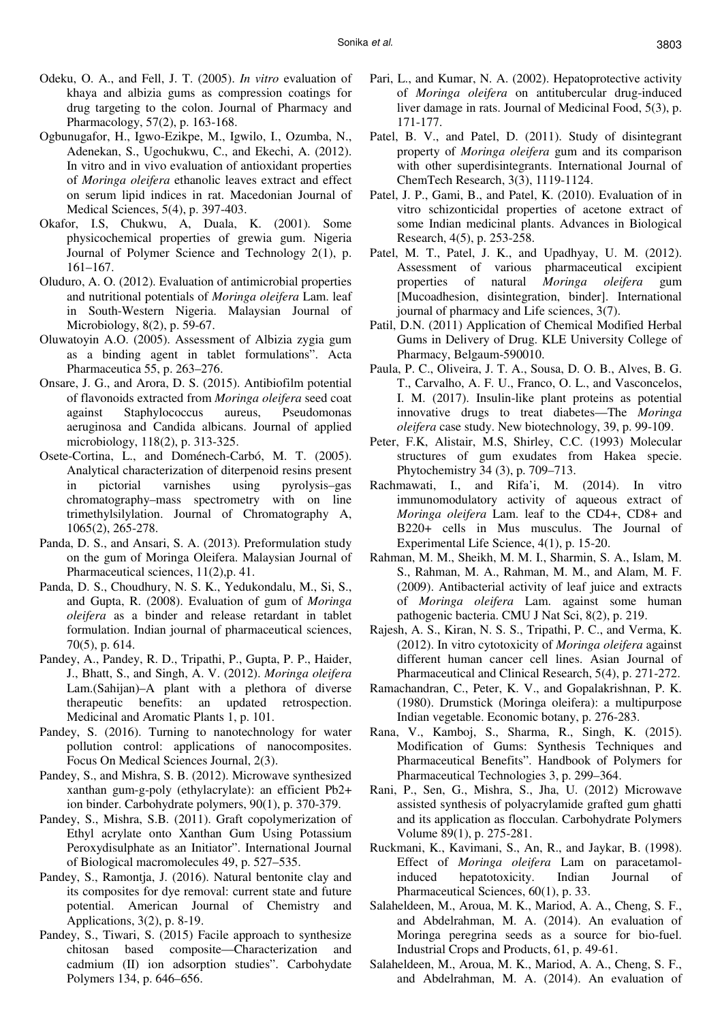- Odeku, O. A., and Fell, J. T. (2005). *In vitro* evaluation of khaya and albizia gums as compression coatings for drug targeting to the colon. Journal of Pharmacy and Pharmacology, 57(2), p. 163-168.
- Ogbunugafor, H., Igwo-Ezikpe, M., Igwilo, I., Ozumba, N., Adenekan, S., Ugochukwu, C., and Ekechi, A. (2012). In vitro and in vivo evaluation of antioxidant properties of *Moringa oleifera* ethanolic leaves extract and effect on serum lipid indices in rat. Macedonian Journal of Medical Sciences, 5(4), p. 397-403.
- Okafor, I.S, Chukwu, A, Duala, K. (2001). Some physicochemical properties of grewia gum. Nigeria Journal of Polymer Science and Technology 2(1), p. 161–167.
- Oluduro, A. O. (2012). Evaluation of antimicrobial properties and nutritional potentials of *Moringa oleifera* Lam. leaf in South-Western Nigeria. Malaysian Journal of Microbiology, 8(2), p. 59-67.
- Oluwatoyin A.O. (2005). Assessment of Albizia zygia gum as a binding agent in tablet formulations". Acta Pharmaceutica 55, p. 263–276.
- Onsare, J. G., and Arora, D. S. (2015). Antibiofilm potential of flavonoids extracted from *Moringa oleifera* seed coat against Staphylococcus aureus, Pseudomonas aeruginosa and Candida albicans. Journal of applied microbiology, 118(2), p. 313-325.
- Osete-Cortina, L., and Doménech-Carbó, M. T. (2005). Analytical characterization of diterpenoid resins present in pictorial varnishes using pyrolysis–gas chromatography–mass spectrometry with on line trimethylsilylation. Journal of Chromatography A, 1065(2), 265-278.
- Panda, D. S., and Ansari, S. A. (2013). Preformulation study on the gum of Moringa Oleifera. Malaysian Journal of Pharmaceutical sciences, 11(2),p. 41.
- Panda, D. S., Choudhury, N. S. K., Yedukondalu, M., Si, S., and Gupta, R. (2008). Evaluation of gum of *Moringa oleifera* as a binder and release retardant in tablet formulation. Indian journal of pharmaceutical sciences, 70(5), p. 614.
- Pandey, A., Pandey, R. D., Tripathi, P., Gupta, P. P., Haider, J., Bhatt, S., and Singh, A. V. (2012). *Moringa oleifera*  Lam.(Sahijan)–A plant with a plethora of diverse therapeutic benefits: an updated retrospection. Medicinal and Aromatic Plants 1, p. 101.
- Pandey, S. (2016). Turning to nanotechnology for water pollution control: applications of nanocomposites. Focus On Medical Sciences Journal, 2(3).
- Pandey, S., and Mishra, S. B. (2012). Microwave synthesized xanthan gum-g-poly (ethylacrylate): an efficient Pb2+ ion binder. Carbohydrate polymers, 90(1), p. 370-379.
- Pandey, S., Mishra, S.B. (2011). Graft copolymerization of Ethyl acrylate onto Xanthan Gum Using Potassium Peroxydisulphate as an Initiator". International Journal of Biological macromolecules 49, p. 527–535.
- Pandey, S., Ramontja, J. (2016). Natural bentonite clay and its composites for dye removal: current state and future potential. American Journal of Chemistry and Applications, 3(2), p. 8-19.
- Pandey, S., Tiwari, S. (2015) Facile approach to synthesize chitosan based composite—Characterization and cadmium (II) ion adsorption studies". Carbohydate Polymers 134, p. 646–656.
- Pari, L., and Kumar, N. A. (2002). Hepatoprotective activity of *Moringa oleifera* on antitubercular drug-induced liver damage in rats. Journal of Medicinal Food, 5(3), p. 171-177.
- Patel, B. V., and Patel, D. (2011). Study of disintegrant property of *Moringa oleifera* gum and its comparison with other superdisintegrants. International Journal of ChemTech Research, 3(3), 1119-1124.
- Patel, J. P., Gami, B., and Patel, K. (2010). Evaluation of in vitro schizonticidal properties of acetone extract of some Indian medicinal plants. Advances in Biological Research, 4(5), p. 253-258.
- Patel, M. T., Patel, J. K., and Upadhyay, U. M. (2012). Assessment of various pharmaceutical excipient properties of natural *Moringa oleifera* gum [Mucoadhesion, disintegration, binder]. International journal of pharmacy and Life sciences, 3(7).
- Patil, D.N. (2011) Application of Chemical Modified Herbal Gums in Delivery of Drug. KLE University College of Pharmacy, Belgaum-590010.
- Paula, P. C., Oliveira, J. T. A., Sousa, D. O. B., Alves, B. G. T., Carvalho, A. F. U., Franco, O. L., and Vasconcelos, I. M. (2017). Insulin-like plant proteins as potential innovative drugs to treat diabetes—The *Moringa oleifera* case study. New biotechnology, 39, p. 99-109.
- Peter, F.K, Alistair, M.S, Shirley, C.C. (1993) Molecular structures of gum exudates from Hakea specie. Phytochemistry 34 (3), p. 709–713.
- Rachmawati, I., and Rifa'i, M. (2014). In vitro immunomodulatory activity of aqueous extract of *Moringa oleifera* Lam. leaf to the CD4+, CD8+ and B220+ cells in Mus musculus. The Journal of Experimental Life Science, 4(1), p. 15-20.
- Rahman, M. M., Sheikh, M. M. I., Sharmin, S. A., Islam, M. S., Rahman, M. A., Rahman, M. M., and Alam, M. F. (2009). Antibacterial activity of leaf juice and extracts of *Moringa oleifera* Lam. against some human pathogenic bacteria. CMU J Nat Sci, 8(2), p. 219.
- Rajesh, A. S., Kiran, N. S. S., Tripathi, P. C., and Verma, K. (2012). In vitro cytotoxicity of *Moringa oleifera* against different human cancer cell lines. Asian Journal of Pharmaceutical and Clinical Research, 5(4), p. 271-272.
- Ramachandran, C., Peter, K. V., and Gopalakrishnan, P. K. (1980). Drumstick (Moringa oleifera): a multipurpose Indian vegetable. Economic botany, p. 276-283.
- Rana, V., Kamboj, S., Sharma, R., Singh, K. (2015). Modification of Gums: Synthesis Techniques and Pharmaceutical Benefits". Handbook of Polymers for Pharmaceutical Technologies 3, p. 299–364.
- Rani, P., Sen, G., Mishra, S., Jha, U. (2012) Microwave assisted synthesis of polyacrylamide grafted gum ghatti and its application as flocculan. Carbohydrate Polymers Volume 89(1), p. 275-281.
- Ruckmani, K., Kavimani, S., An, R., and Jaykar, B. (1998). Effect of *Moringa oleifera* Lam on paracetamolinduced hepatotoxicity. Indian Journal of Pharmaceutical Sciences, 60(1), p. 33.
- Salaheldeen, M., Aroua, M. K., Mariod, A. A., Cheng, S. F., and Abdelrahman, M. A. (2014). An evaluation of Moringa peregrina seeds as a source for bio-fuel. Industrial Crops and Products, 61, p. 49-61.
- Salaheldeen, M., Aroua, M. K., Mariod, A. A., Cheng, S. F., and Abdelrahman, M. A. (2014). An evaluation of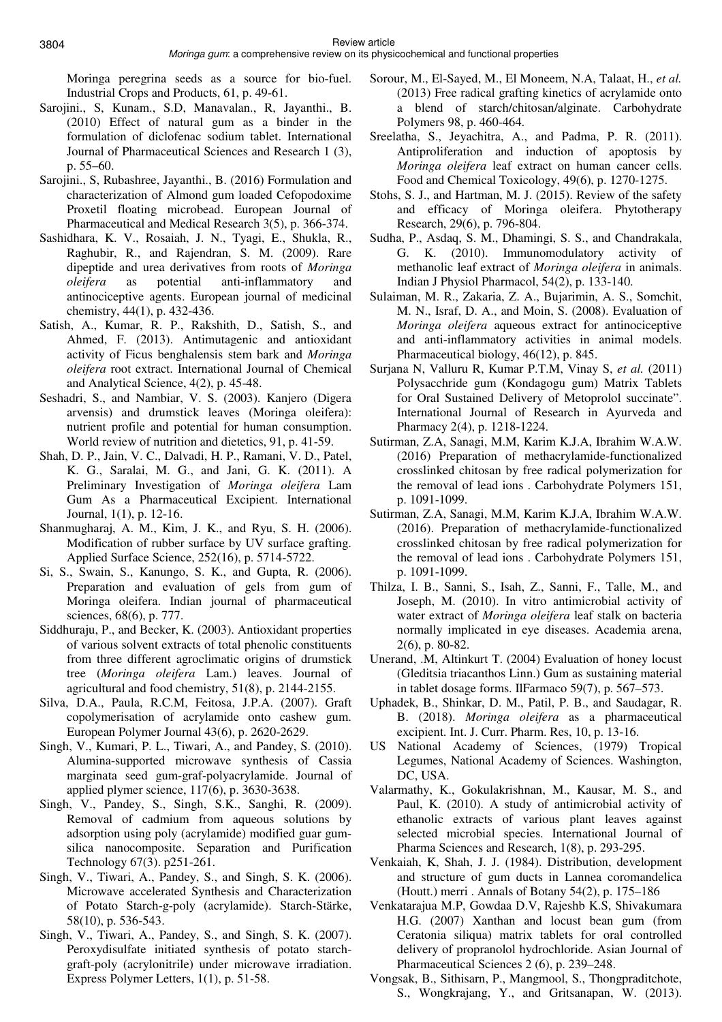Moringa peregrina seeds as a source for bio-fuel. Industrial Crops and Products, 61, p. 49-61.

- Sarojini., S, Kunam., S.D, Manavalan., R, Jayanthi., B. (2010) Effect of natural gum as a binder in the formulation of diclofenac sodium tablet. International Journal of Pharmaceutical Sciences and Research 1 (3), p. 55–60.
- Sarojini., S, Rubashree, Jayanthi., B. (2016) Formulation and characterization of Almond gum loaded Cefopodoxime Proxetil floating microbead. European Journal of Pharmaceutical and Medical Research 3(5), p. 366-374.
- Sashidhara, K. V., Rosaiah, J. N., Tyagi, E., Shukla, R., Raghubir, R., and Rajendran, S. M. (2009). Rare dipeptide and urea derivatives from roots of *Moringa oleifera* as potential anti-inflammatory and antinociceptive agents. European journal of medicinal chemistry, 44(1), p. 432-436.
- Satish, A., Kumar, R. P., Rakshith, D., Satish, S., and Ahmed, F. (2013). Antimutagenic and antioxidant activity of Ficus benghalensis stem bark and *Moringa oleifera* root extract. International Journal of Chemical and Analytical Science, 4(2), p. 45-48.
- Seshadri, S., and Nambiar, V. S. (2003). Kanjero (Digera arvensis) and drumstick leaves (Moringa oleifera): nutrient profile and potential for human consumption. World review of nutrition and dietetics, 91, p. 41-59.
- Shah, D. P., Jain, V. C., Dalvadi, H. P., Ramani, V. D., Patel, K. G., Saralai, M. G., and Jani, G. K. (2011). A Preliminary Investigation of *Moringa oleifera* Lam Gum As a Pharmaceutical Excipient. International Journal, 1(1), p. 12-16.
- Shanmugharaj, A. M., Kim, J. K., and Ryu, S. H. (2006). Modification of rubber surface by UV surface grafting. Applied Surface Science, 252(16), p. 5714-5722.
- Si, S., Swain, S., Kanungo, S. K., and Gupta, R. (2006). Preparation and evaluation of gels from gum of Moringa oleifera. Indian journal of pharmaceutical sciences, 68(6), p. 777.
- Siddhuraju, P., and Becker, K. (2003). Antioxidant properties of various solvent extracts of total phenolic constituents from three different agroclimatic origins of drumstick tree (*Moringa oleifera* Lam.) leaves. Journal of agricultural and food chemistry, 51(8), p. 2144-2155.
- Silva, D.A., Paula, R.C.M, Feitosa, J.P.A. (2007). Graft copolymerisation of acrylamide onto cashew gum. European Polymer Journal 43(6), p. 2620-2629.
- Singh, V., Kumari, P. L., Tiwari, A., and Pandey, S. (2010). Alumina-supported microwave synthesis of Cassia marginata seed gum-graf-polyacrylamide. Journal of applied plymer science, 117(6), p. 3630-3638.
- Singh, V., Pandey, S., Singh, S.K., Sanghi, R. (2009). Removal of cadmium from aqueous solutions by adsorption using poly (acrylamide) modified guar gumsilica nanocomposite. Separation and Purification Technology 67(3). p251-261.
- Singh, V., Tiwari, A., Pandey, S., and Singh, S. K. (2006). Microwave accelerated Synthesis and Characterization of Potato Starch-g-poly (acrylamide). Starch-Stärke, 58(10), p. 536-543.
- Singh, V., Tiwari, A., Pandey, S., and Singh, S. K. (2007). Peroxydisulfate initiated synthesis of potato starchgraft-poly (acrylonitrile) under microwave irradiation. Express Polymer Letters, 1(1), p. 51-58.
- Sorour, M., El-Sayed, M., El Moneem, N.A, Talaat, H., *et al.* (2013) Free radical grafting kinetics of acrylamide onto a blend of starch/chitosan/alginate. Carbohydrate Polymers 98, p. 460-464.
- Sreelatha, S., Jeyachitra, A., and Padma, P. R. (2011). Antiproliferation and induction of apoptosis by *Moringa oleifera* leaf extract on human cancer cells. Food and Chemical Toxicology, 49(6), p. 1270-1275.
- Stohs, S. J., and Hartman, M. J. (2015). Review of the safety and efficacy of Moringa oleifera. Phytotherapy Research, 29(6), p. 796-804.
- Sudha, P., Asdaq, S. M., Dhamingi, S. S., and Chandrakala, G. K. (2010). Immunomodulatory activity of methanolic leaf extract of *Moringa oleifera* in animals. Indian J Physiol Pharmacol, 54(2), p. 133-140.
- Sulaiman, M. R., Zakaria, Z. A., Bujarimin, A. S., Somchit, M. N., Israf, D. A., and Moin, S. (2008). Evaluation of *Moringa oleifera* aqueous extract for antinociceptive and anti-inflammatory activities in animal models. Pharmaceutical biology, 46(12), p. 845.
- Surjana N, Valluru R, Kumar P.T.M, Vinay S, *et al.* (2011) Polysacchride gum (Kondagogu gum) Matrix Tablets for Oral Sustained Delivery of Metoprolol succinate". International Journal of Research in Ayurveda and Pharmacy 2(4), p. 1218-1224.
- Sutirman, Z.A, Sanagi, M.M, Karim K.J.A, Ibrahim W.A.W. (2016) Preparation of methacrylamide-functionalized crosslinked chitosan by free radical polymerization for the removal of lead ions . Carbohydrate Polymers 151, p. 1091-1099.
- Sutirman, Z.A, Sanagi, M.M, Karim K.J.A, Ibrahim W.A.W. (2016). Preparation of methacrylamide-functionalized crosslinked chitosan by free radical polymerization for the removal of lead ions . Carbohydrate Polymers 151, p. 1091-1099.
- Thilza, I. B., Sanni, S., Isah, Z., Sanni, F., Talle, M., and Joseph, M. (2010). In vitro antimicrobial activity of water extract of *Moringa oleifera* leaf stalk on bacteria normally implicated in eye diseases. Academia arena, 2(6), p. 80-82.
- Unerand, .M, Altinkurt T. (2004) Evaluation of honey locust (Gleditsia triacanthos Linn.) Gum as sustaining material in tablet dosage forms. IlFarmaco 59(7), p. 567–573.
- Uphadek, B., Shinkar, D. M., Patil, P. B., and Saudagar, R. B. (2018). *Moringa oleifera* as a pharmaceutical excipient. Int. J. Curr. Pharm. Res, 10, p. 13-16.
- US National Academy of Sciences, (1979) Tropical Legumes, National Academy of Sciences. Washington, DC, USA.
- Valarmathy, K., Gokulakrishnan, M., Kausar, M. S., and Paul, K. (2010). A study of antimicrobial activity of ethanolic extracts of various plant leaves against selected microbial species. International Journal of Pharma Sciences and Research, 1(8), p. 293-295.
- Venkaiah, K, Shah, J. J. (1984). Distribution, development and structure of gum ducts in Lannea coromandelica (Houtt.) merri . Annals of Botany 54(2), p. 175–186
- Venkatarajua M.P, Gowdaa D.V, Rajeshb K.S, Shivakumara H.G. (2007) Xanthan and locust bean gum (from Ceratonia siliqua) matrix tablets for oral controlled delivery of propranolol hydrochloride. Asian Journal of Pharmaceutical Sciences 2 (6), p. 239–248.
- Vongsak, B., Sithisarn, P., Mangmool, S., Thongpraditchote, S., Wongkrajang, Y., and Gritsanapan, W. (2013).